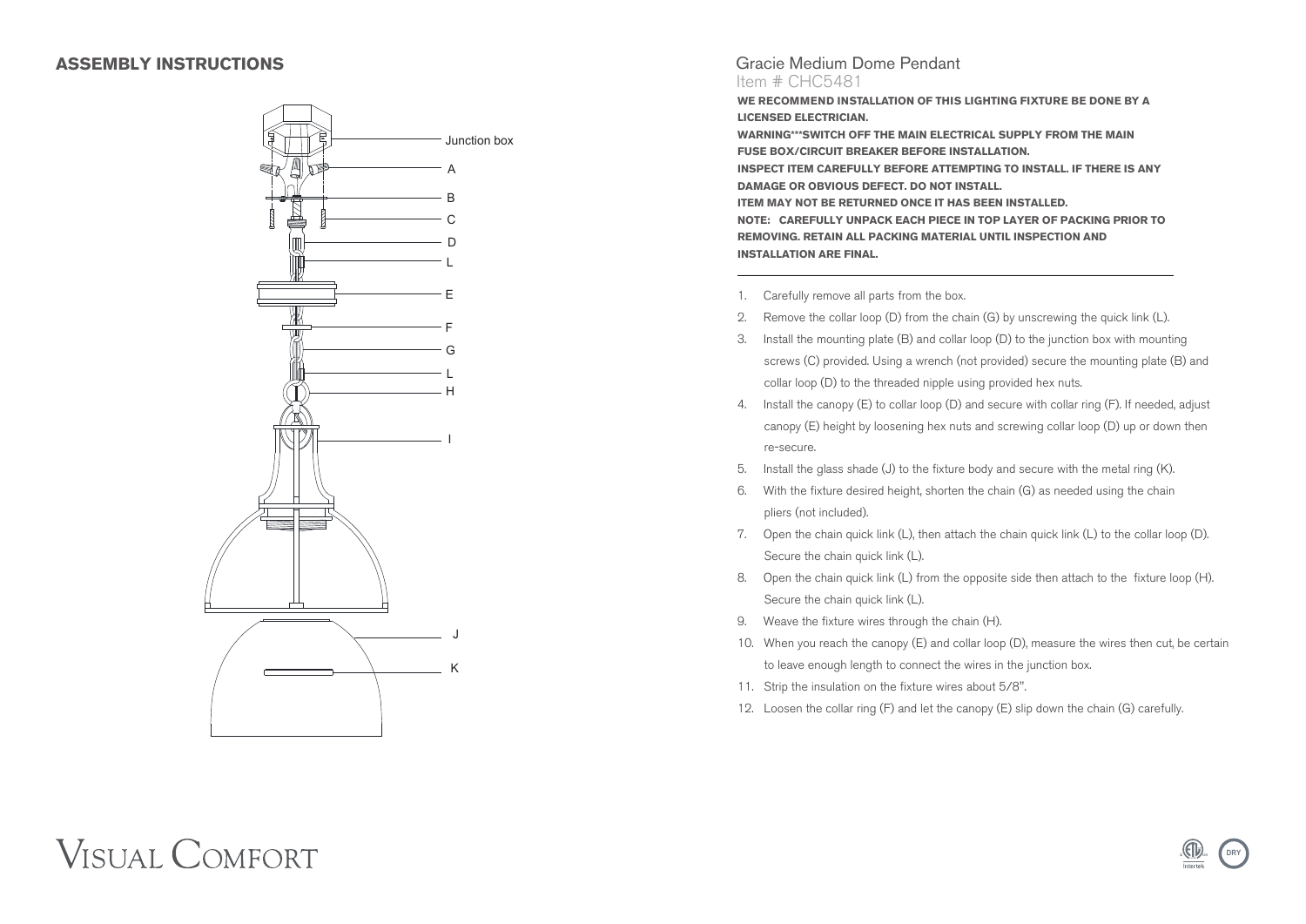## **ASSEMBLY INSTRUCTIONS**



### Gracie Medium Dome Pendant Item # CHC5481

**WE RECOMMEND INSTALLATION OF THIS LIGHTING FIXTURE BE DONE BY A LICENSED ELECTRICIAN. WARNING\*\*\*SWITCH OFF THE MAIN ELECTRICAL SUPPLY FROM THE MAIN**

**FUSE BOX/CIRCUIT BREAKER BEFORE INSTALLATION. INSPECT ITEM CAREFULLY BEFORE ATTEMPTING TO INSTALL. IF THERE IS ANY DAMAGE OR OBVIOUS DEFECT. DO NOT INSTALL. ITEM MAY NOT BE RETURNED ONCE IT HAS BEEN INSTALLED. NOTE: CAREFULLY UNPACK EACH PIECE IN TOP LAYER OF PACKING PRIOR TO REMOVING. RETAIN ALL PACKING MATERIAL UNTIL INSPECTION AND INSTALLATION ARE FINAL.**

- 1. Carefully remove all parts from the box.
- 2. Remove the collar loop (D) from the chain (G) by unscrewing the quick link (L).
- 3. Install the mounting plate (B) and collar loop (D) to the junction box with mounting screws (C) provided. Using a wrench (not provided) secure the mounting plate (B) and collar loop (D) to the threaded nipple using provided hex nuts.
- 4. Install the canopy (E) to collar loop (D) and secure with collar ring (F). If needed, adjust canopy (E) height by loosening hex nuts and screwing collar loop (D) up or down then re-secure.
- 5. Install the glass shade (J) to the fixture body and secure with the metal ring (K).
- 6. With the fixture desired height, shorten the chain (G) as needed using the chain pliers (not included).
- 7. Open the chain quick link (L), then attach the chain quick link (L) to the collar loop (D). Secure the chain quick link (L).
- 8. Open the chain quick link (L) from the opposite side then attach to the fixture loop (H). Secure the chain quick link (L).
- 9. Weave the fixture wires through the chain (H).
- 10. When you reach the canopy (E) and collar loop (D), measure the wires then cut, be certain to leave enough length to connect the wires in the junction box.

**US <sup>L</sup> <sup>I</sup>ST<sup>E</sup> <sup>D</sup>**

**DRY**

- 11. Strip the insulation on the fixture wires about 5/8".
- 12. Loosen the collar ring (F) and let the canopy (E) slip down the chain (G) carefully.

# **VISUAL COMFORT**